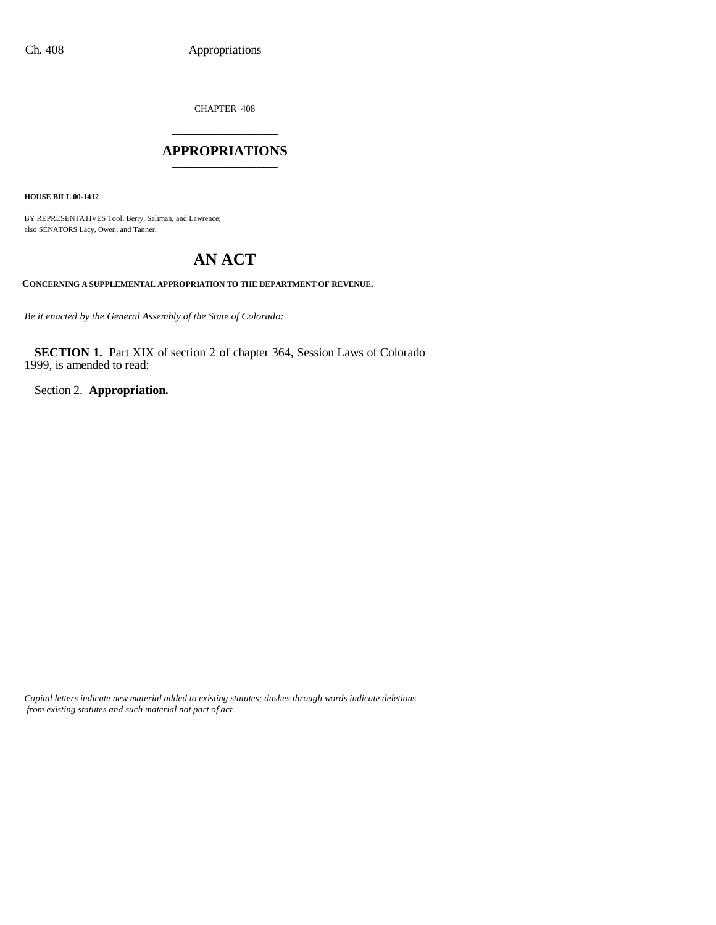CHAPTER 408 \_\_\_\_\_\_\_\_\_\_\_\_\_\_\_

### **APPROPRIATIONS** \_\_\_\_\_\_\_\_\_\_\_\_\_\_\_

**HOUSE BILL 00-1412**

BY REPRESENTATIVES Tool, Berry, Saliman, and Lawrence; also SENATORS Lacy, Owen, and Tanner.

# **AN ACT**

**CONCERNING A SUPPLEMENTAL APPROPRIATION TO THE DEPARTMENT OF REVENUE.**

*Be it enacted by the General Assembly of the State of Colorado:*

**SECTION 1.** Part XIX of section 2 of chapter 364, Session Laws of Colorado 1999, is amended to read:

Section 2. **Appropriation.**

*Capital letters indicate new material added to existing statutes; dashes through words indicate deletions from existing statutes and such material not part of act.*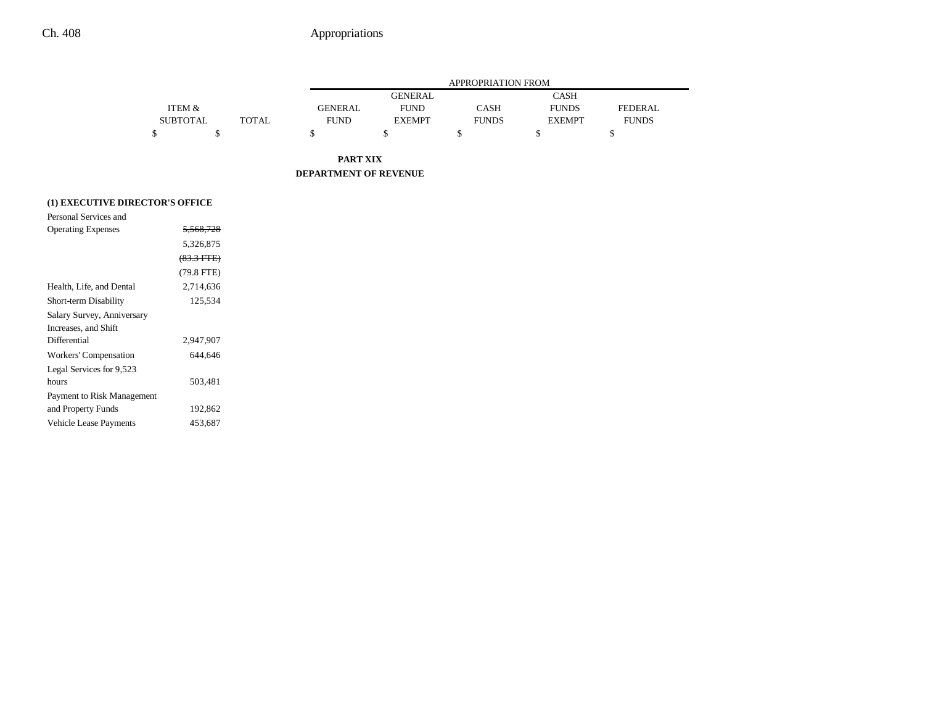$\overline{\phantom{0}}$ 

|                                 |                   |              |                       |                | APPROPRIATION FROM |               |                |
|---------------------------------|-------------------|--------------|-----------------------|----------------|--------------------|---------------|----------------|
|                                 |                   |              |                       | <b>GENERAL</b> |                    | <b>CASH</b>   |                |
|                                 | <b>ITEM &amp;</b> |              | <b>GENERAL</b>        | <b>FUND</b>    | CASH               | <b>FUNDS</b>  | <b>FEDERAL</b> |
|                                 | <b>SUBTOTAL</b>   | <b>TOTAL</b> | <b>FUND</b>           | <b>EXEMPT</b>  | <b>FUNDS</b>       | <b>EXEMPT</b> | <b>FUNDS</b>   |
|                                 | \$<br>\$          |              | \$                    | \$             | \$                 | \$            | \$             |
|                                 |                   |              | <b>PART XIX</b>       |                |                    |               |                |
|                                 |                   |              | DEPARTMENT OF REVENUE |                |                    |               |                |
| (1) EXECUTIVE DIRECTOR'S OFFICE |                   |              |                       |                |                    |               |                |
| Personal Services and           |                   |              |                       |                |                    |               |                |
| <b>Operating Expenses</b>       | 5,568,728         |              |                       |                |                    |               |                |
|                                 | 5,326,875         |              |                       |                |                    |               |                |
|                                 | $(83.3$ FTE $)$   |              |                       |                |                    |               |                |
|                                 | $(79.8$ FTE)      |              |                       |                |                    |               |                |
| Health, Life, and Dental        | 2,714,636         |              |                       |                |                    |               |                |
| Short-term Disability           | 125,534           |              |                       |                |                    |               |                |
| Salary Survey, Anniversary      |                   |              |                       |                |                    |               |                |
| Increases, and Shift            |                   |              |                       |                |                    |               |                |
| Differential                    | 2,947,907         |              |                       |                |                    |               |                |
| Workers' Compensation           | 644,646           |              |                       |                |                    |               |                |
| Legal Services for 9,523        |                   |              |                       |                |                    |               |                |
| hours                           | 503,481           |              |                       |                |                    |               |                |
| Payment to Risk Management      |                   |              |                       |                |                    |               |                |
| and Property Funds              | 192,862           |              |                       |                |                    |               |                |
| <b>Vehicle Lease Payments</b>   | 453,687           |              |                       |                |                    |               |                |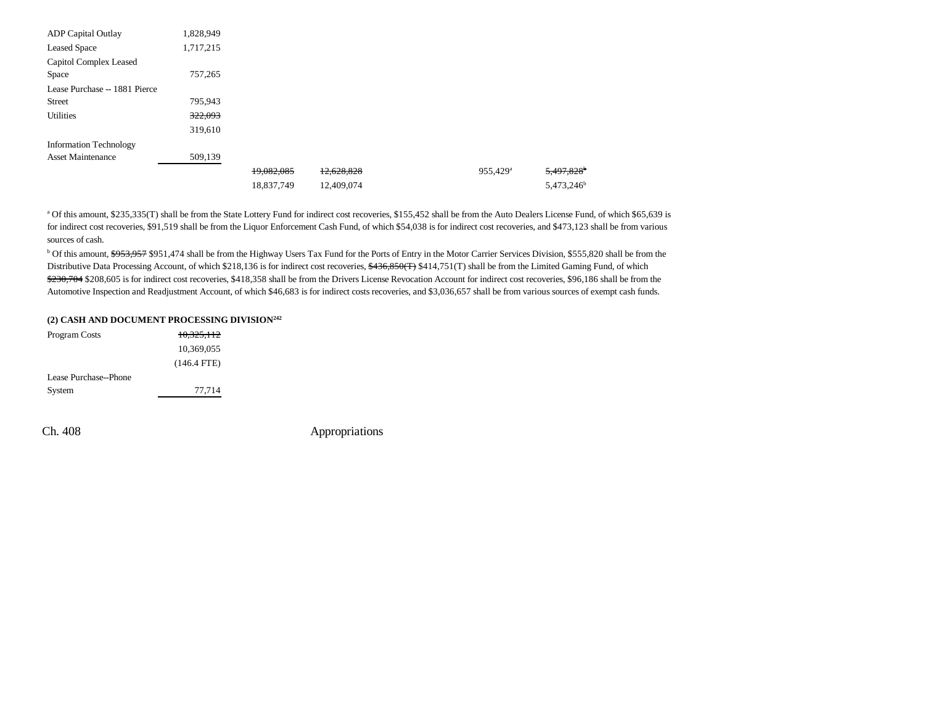| <b>ADP</b> Capital Outlay     | 1,828,949 |            |            |                      |                        |
|-------------------------------|-----------|------------|------------|----------------------|------------------------|
| <b>Leased Space</b>           | 1,717,215 |            |            |                      |                        |
| Capitol Complex Leased        |           |            |            |                      |                        |
| Space                         | 757,265   |            |            |                      |                        |
| Lease Purchase -- 1881 Pierce |           |            |            |                      |                        |
| <b>Street</b>                 | 795,943   |            |            |                      |                        |
| <b>Utilities</b>              | 322,093   |            |            |                      |                        |
|                               | 319,610   |            |            |                      |                        |
| <b>Information Technology</b> |           |            |            |                      |                        |
| <b>Asset Maintenance</b>      | 509,139   |            |            |                      |                        |
|                               |           | 19,082,085 | 12,628,828 | 955,429 <sup>a</sup> | 5,497,828 <sup>b</sup> |
|                               |           | 18,837,749 | 12,409,074 |                      | 5,473,246 <sup>b</sup> |

a Of this amount, \$235,335(T) shall be from the State Lottery Fund for indirect cost recoveries, \$155,452 shall be from the Auto Dealers License Fund, of which \$65,639 is for indirect cost recoveries, \$91,519 shall be from the Liquor Enforcement Cash Fund, of which \$54,038 is for indirect cost recoveries, and \$473,123 shall be from various sources of cash.

<sup>b</sup> Of this amount, \$953,957 \$951,474 shall be from the Highway Users Tax Fund for the Ports of Entry in the Motor Carrier Services Division, \$555,820 shall be from the Distributive Data Processing Account, of which \$218,136 is for indirect cost recoveries, \$436,850(T) \$414,751(T) shall be from the Limited Gaming Fund, of which  $$230,704$208,605$  is for indirect cost recoveries, \$418,358 shall be from the Drivers License Revocation Account for indirect cost recoveries, \$96,186 shall be from the Automotive Inspection and Readjustment Account, of which \$46,683 is for indirect costs recoveries, and \$3,036,657 shall be from various sources of exempt cash funds.

### **(2) CASH AND DOCUMENT PROCESSING DIVISION242**

| 10,369,055            |  |
|-----------------------|--|
| $(146.4$ FTE)         |  |
| Lease Purchase--Phone |  |
| 77,714<br>System      |  |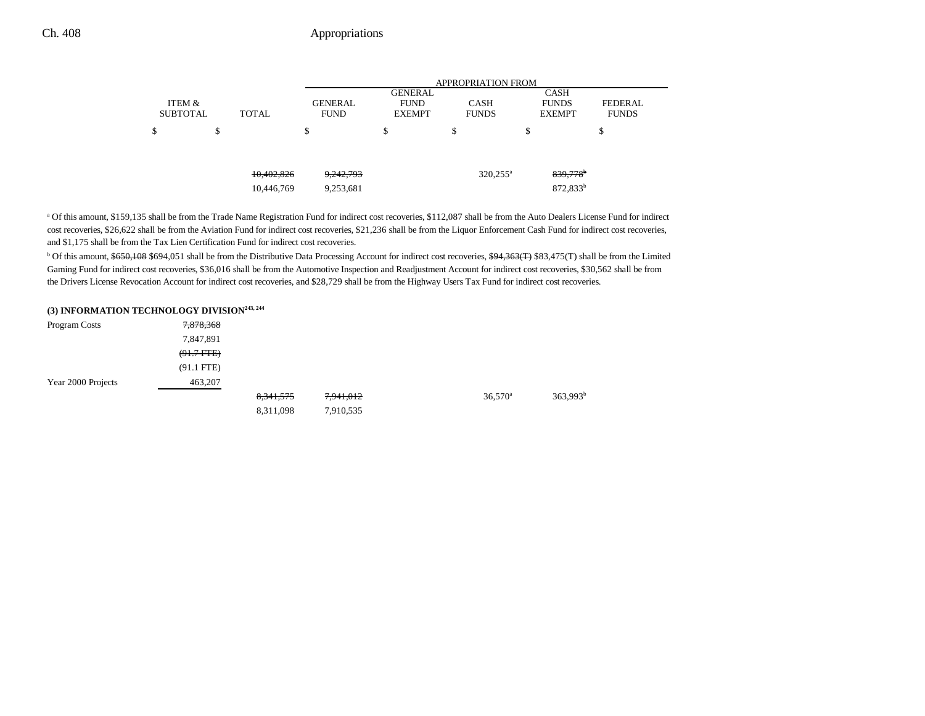|                           |   |            |                               | <b>APPROPRIATION FROM</b>    |                             |                               |                                |  |  |  |  |
|---------------------------|---|------------|-------------------------------|------------------------------|-----------------------------|-------------------------------|--------------------------------|--|--|--|--|
|                           |   |            |                               | <b>GENERAL</b>               |                             | <b>CASH</b>                   |                                |  |  |  |  |
| ITEM &<br><b>SUBTOTAL</b> |   | TOTAL      | <b>GENERAL</b><br><b>FUND</b> | <b>FUND</b><br><b>EXEMPT</b> | <b>CASH</b><br><b>FUNDS</b> | <b>FUNDS</b><br><b>EXEMPT</b> | <b>FEDERAL</b><br><b>FUNDS</b> |  |  |  |  |
| \$                        | Φ |            | \$                            | \$                           | \$                          | \$                            | \$                             |  |  |  |  |
|                           |   |            |                               |                              |                             |                               |                                |  |  |  |  |
|                           |   | 10,402,826 | 9,242,793                     |                              | $320,255^{\circ}$           | 839,778 <sup>b</sup>          |                                |  |  |  |  |
|                           |   | 10,446,769 | 9,253,681                     |                              |                             | 872,833 <sup>b</sup>          |                                |  |  |  |  |

<sup>a</sup> Of this amount, \$159,135 shall be from the Trade Name Registration Fund for indirect cost recoveries, \$112,087 shall be from the Auto Dealers License Fund for indirect cost recoveries, \$26,622 shall be from the Aviation Fund for indirect cost recoveries, \$21,236 shall be from the Liquor Enforcement Cash Fund for indirect cost recoveries, and \$1,175 shall be from the Tax Lien Certification Fund for indirect cost recoveries.

<sup>b</sup> Of this amount, \$650,108 \$694,051 shall be from the Distributive Data Processing Account for indirect cost recoveries, \$94,363(T) \$83,475(T) shall be from the Limited Gaming Fund for indirect cost recoveries, \$36,016 shall be from the Automotive Inspection and Readjustment Account for indirect cost recoveries, \$30,562 shall be from the Drivers License Revocation Account for indirect cost recoveries, and \$28,729 shall be from the Highway Users Tax Fund for indirect cost recoveries.

### **(3) INFORMATION TECHNOLOGY DIVISION243, 244**

| Program Costs      | 7,878,368      |             |           |                       |                      |
|--------------------|----------------|-------------|-----------|-----------------------|----------------------|
|                    | 7,847,891      |             |           |                       |                      |
|                    | $(91.7 + FFE)$ |             |           |                       |                      |
|                    | $(91.1$ FTE)   |             |           |                       |                      |
| Year 2000 Projects | 463,207        |             |           |                       |                      |
|                    |                | 8, 341, 575 | 7,941,012 | $36,570$ <sup>a</sup> | 363,993 <sup>b</sup> |
|                    |                | 8,311,098   | 7,910,535 |                       |                      |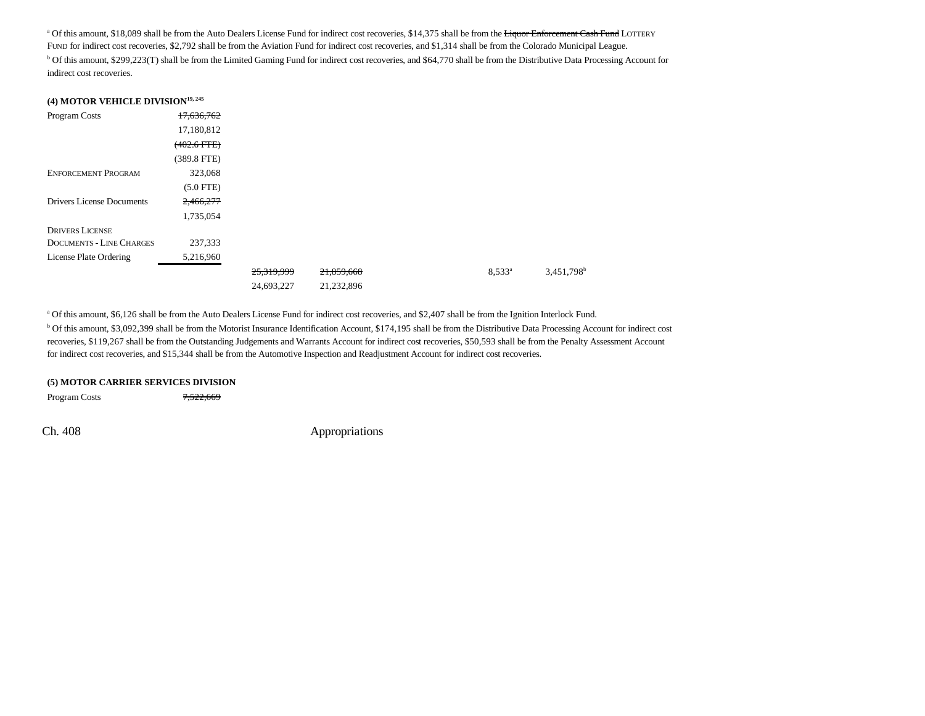<sup>a</sup> Of this amount, \$18,089 shall be from the Auto Dealers License Fund for indirect cost recoveries, \$14,375 shall be from the Liquor Enforcement Cash Fund LOTTERY FUND for indirect cost recoveries, \$2,792 shall be from the Aviation Fund for indirect cost recoveries, and \$1,314 shall be from the Colorado Municipal League. <sup>b</sup> Of this amount, \$299,223(T) shall be from the Limited Gaming Fund for indirect cost recoveries, and \$64,770 shall be from the Distributive Data Processing Account for indirect cost recoveries.

|  | (4) MOTOR VEHICLE DIVISION <sup>19, 245</sup> |  |
|--|-----------------------------------------------|--|
|  |                                               |  |

| Program Costs                   | 17,636,762       |            |            |                 |                          |
|---------------------------------|------------------|------------|------------|-----------------|--------------------------|
|                                 | 17,180,812       |            |            |                 |                          |
|                                 | $(402.6$ FTE $)$ |            |            |                 |                          |
|                                 | $(389.8$ FTE)    |            |            |                 |                          |
| <b>ENFORCEMENT PROGRAM</b>      | 323,068          |            |            |                 |                          |
|                                 | $(5.0$ FTE)      |            |            |                 |                          |
| Drivers License Documents       | 2,466,277        |            |            |                 |                          |
|                                 | 1,735,054        |            |            |                 |                          |
| <b>DRIVERS LICENSE</b>          |                  |            |            |                 |                          |
| <b>DOCUMENTS - LINE CHARGES</b> | 237,333          |            |            |                 |                          |
| License Plate Ordering          | 5,216,960        |            |            |                 |                          |
|                                 |                  | 25,319,999 | 21,859,668 | $8,533^{\circ}$ | $3,451,798$ <sup>b</sup> |
|                                 |                  | 24,693,227 | 21,232,896 |                 |                          |

a Of this amount, \$6,126 shall be from the Auto Dealers License Fund for indirect cost recoveries, and \$2,407 shall be from the Ignition Interlock Fund.

b Of this amount, \$3,092,399 shall be from the Motorist Insurance Identification Account, \$174,195 shall be from the Distributive Data Processing Account for indirect cost recoveries, \$119,267 shall be from the Outstanding Judgements and Warrants Account for indirect cost recoveries, \$50,593 shall be from the Penalty Assessment Account for indirect cost recoveries, and \$15,344 shall be from the Automotive Inspection and Readjustment Account for indirect cost recoveries.

#### **(5) MOTOR CARRIER SERVICES DIVISION**

Program Costs 7,522,669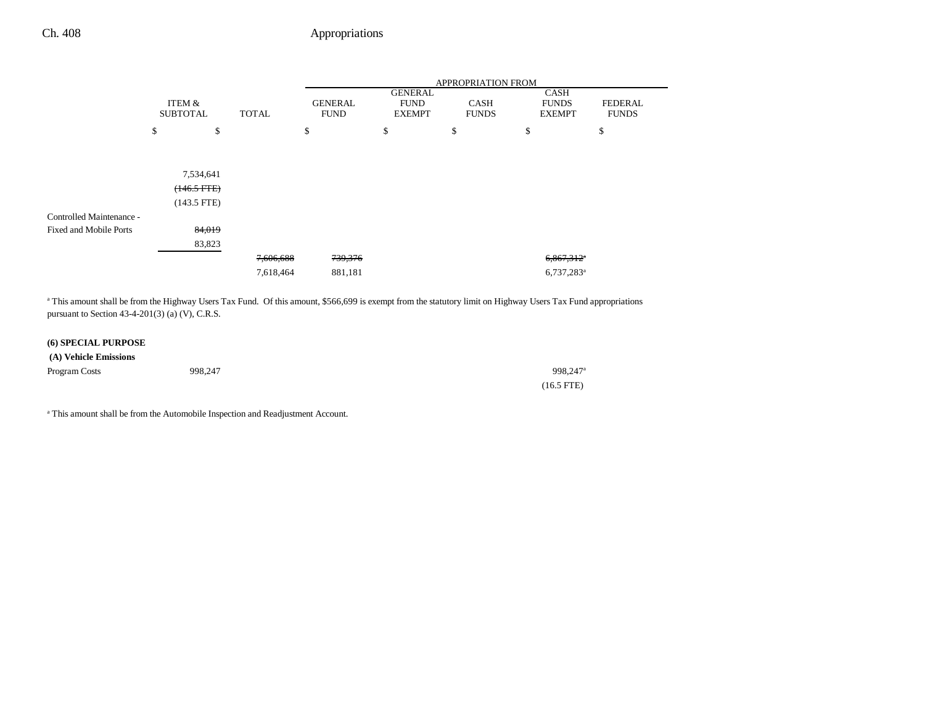|                               |                           |    |              |    | APPROPRIATION FROM            |                                                |                             |    |                                              |                                |  |
|-------------------------------|---------------------------|----|--------------|----|-------------------------------|------------------------------------------------|-----------------------------|----|----------------------------------------------|--------------------------------|--|
|                               | ITEM &<br><b>SUBTOTAL</b> |    | <b>TOTAL</b> |    | <b>GENERAL</b><br><b>FUND</b> | <b>GENERAL</b><br><b>FUND</b><br><b>EXEMPT</b> | <b>CASH</b><br><b>FUNDS</b> |    | <b>CASH</b><br><b>FUNDS</b><br><b>EXEMPT</b> | <b>FEDERAL</b><br><b>FUNDS</b> |  |
|                               | \$                        | \$ |              | \$ |                               | \$                                             | \$                          | \$ |                                              | \$                             |  |
|                               |                           |    |              |    |                               |                                                |                             |    |                                              |                                |  |
|                               | 7,534,641                 |    |              |    |                               |                                                |                             |    |                                              |                                |  |
|                               |                           |    |              |    |                               |                                                |                             |    |                                              |                                |  |
|                               | $(146.5 FFE)$             |    |              |    |                               |                                                |                             |    |                                              |                                |  |
|                               | $(143.5$ FTE)             |    |              |    |                               |                                                |                             |    |                                              |                                |  |
| Controlled Maintenance -      |                           |    |              |    |                               |                                                |                             |    |                                              |                                |  |
| <b>Fixed and Mobile Ports</b> | 84,019                    |    |              |    |                               |                                                |                             |    |                                              |                                |  |
|                               | 83,823                    |    |              |    |                               |                                                |                             |    |                                              |                                |  |
|                               |                           |    | 7,606,688    |    | 739,376                       |                                                |                             |    | $6,867,312$ <sup>*</sup>                     |                                |  |
|                               |                           |    | 7,618,464    |    | 881,181                       |                                                |                             |    | $6,737,283$ <sup>a</sup>                     |                                |  |

<sup>a</sup> This amount shall be from the Highway Users Tax Fund. Of this amount, \$566,699 is exempt from the statutory limit on Highway Users Tax Fund appropriations pursuant to Section 43-4-201(3) (a) (V), C.R.S.

### **(6) SPECIAL PURPOSE**

| (A) Vehicle Emissions |         |                      |
|-----------------------|---------|----------------------|
| Program Costs         | 998,247 | 998,247 <sup>a</sup> |
|                       |         | $(16.5$ FTE)         |

<sup>a</sup> This amount shall be from the Automobile Inspection and Readjustment Account.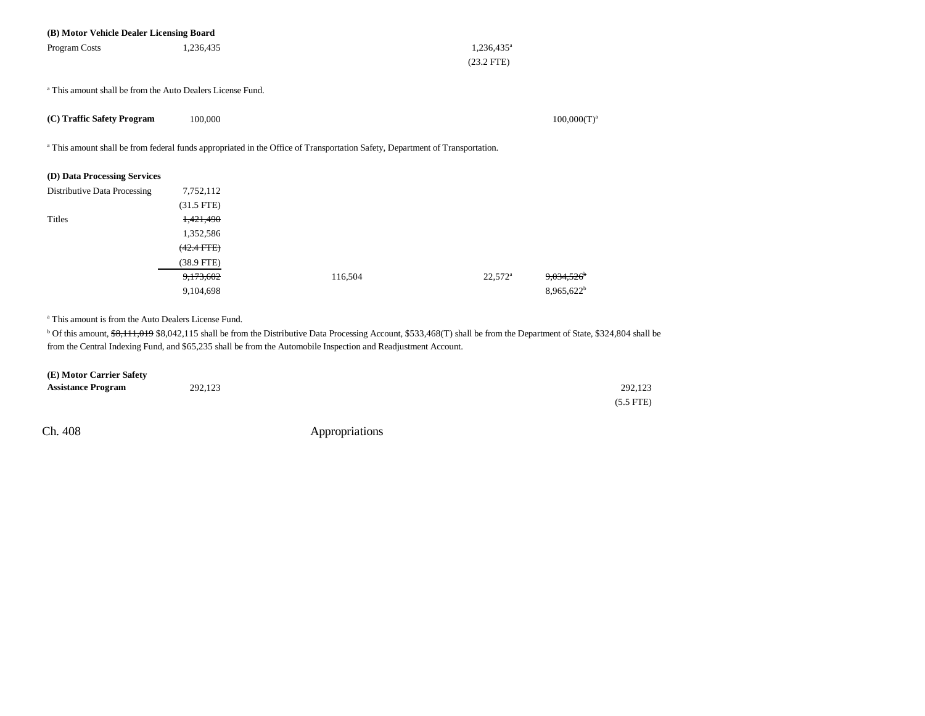| 1,236,435       |                                                                                                                              | $1,236,435^a$    |                                                                                                                              |
|-----------------|------------------------------------------------------------------------------------------------------------------------------|------------------|------------------------------------------------------------------------------------------------------------------------------|
|                 |                                                                                                                              | $(23.2$ FTE)     |                                                                                                                              |
|                 |                                                                                                                              |                  |                                                                                                                              |
|                 |                                                                                                                              |                  |                                                                                                                              |
|                 |                                                                                                                              |                  | $100,000(T)^a$                                                                                                               |
|                 |                                                                                                                              |                  |                                                                                                                              |
|                 |                                                                                                                              |                  |                                                                                                                              |
|                 |                                                                                                                              |                  |                                                                                                                              |
|                 |                                                                                                                              |                  |                                                                                                                              |
| 7,752,112       |                                                                                                                              |                  |                                                                                                                              |
| $(31.5$ FTE)    |                                                                                                                              |                  |                                                                                                                              |
| 1,421,490       |                                                                                                                              |                  |                                                                                                                              |
| 1,352,586       |                                                                                                                              |                  |                                                                                                                              |
| $(42.4$ FTE $)$ |                                                                                                                              |                  |                                                                                                                              |
| $(38.9$ FTE)    |                                                                                                                              |                  |                                                                                                                              |
| 9,173,602       | 116,504                                                                                                                      | $22,572^{\circ}$ | 9,034,526                                                                                                                    |
| 9,104,698       |                                                                                                                              |                  | 8,965,622 <sup>b</sup>                                                                                                       |
|                 |                                                                                                                              |                  |                                                                                                                              |
|                 | (B) Motor Vehicle Dealer Licensing Board<br><sup>a</sup> This amount shall be from the Auto Dealers License Fund.<br>100,000 |                  | a This amount shall be from federal funds appropriated in the Office of Transportation Safety, Department of Transportation. |

a This amount is from the Auto Dealers License Fund.

<sup>b</sup> Of this amount,  $\frac{1}{38,111,019}$  \$8,042,115 shall be from the Distributive Data Processing Account, \$533,468(T) shall be from the Department of State, \$324,804 shall be from the Central Indexing Fund, and \$65,235 shall be from the Automobile Inspection and Readjustment Account.

| (E) Motor Carrier Safety  |         |             |
|---------------------------|---------|-------------|
| <b>Assistance Program</b> | 292,123 | 292.123     |
|                           |         | $(5.5$ FTE) |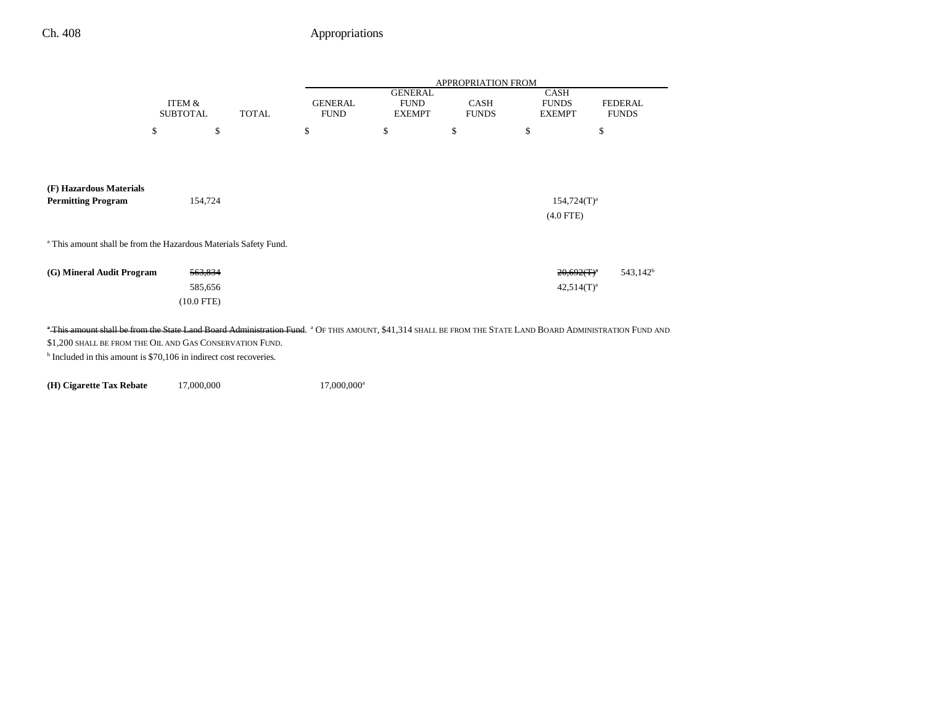|                                                                                                                                                                                                                                   |                           |              |                               |                                                | <b>APPROPRIATION FROM</b>   |                                              |                                |
|-----------------------------------------------------------------------------------------------------------------------------------------------------------------------------------------------------------------------------------|---------------------------|--------------|-------------------------------|------------------------------------------------|-----------------------------|----------------------------------------------|--------------------------------|
|                                                                                                                                                                                                                                   | ITEM &<br><b>SUBTOTAL</b> | <b>TOTAL</b> | <b>GENERAL</b><br><b>FUND</b> | <b>GENERAL</b><br><b>FUND</b><br><b>EXEMPT</b> | <b>CASH</b><br><b>FUNDS</b> | <b>CASH</b><br><b>FUNDS</b><br><b>EXEMPT</b> | <b>FEDERAL</b><br><b>FUNDS</b> |
|                                                                                                                                                                                                                                   | \$                        | \$           | \$                            | \$                                             | \$                          | \$                                           | \$                             |
|                                                                                                                                                                                                                                   |                           |              |                               |                                                |                             |                                              |                                |
| (F) Hazardous Materials<br><b>Permitting Program</b>                                                                                                                                                                              | 154,724                   |              |                               |                                                |                             | $154,724(T)^a$                               |                                |
|                                                                                                                                                                                                                                   |                           |              |                               |                                                |                             | $(4.0$ FTE)                                  |                                |
| <sup>a</sup> This amount shall be from the Hazardous Materials Safety Fund.                                                                                                                                                       |                           |              |                               |                                                |                             |                                              |                                |
| (G) Mineral Audit Program                                                                                                                                                                                                         | 563,834                   |              |                               |                                                |                             | $20,692(T)^4$                                | 543,142 <sup>b</sup>           |
|                                                                                                                                                                                                                                   | 585,656                   |              |                               |                                                |                             | $42,514(T)^a$                                |                                |
|                                                                                                                                                                                                                                   | $(10.0$ FTE)              |              |                               |                                                |                             |                                              |                                |
| "This amount shall be from the State Land Board Administration Fund. <sup>a</sup> Of this amount, \$41,314 shall be from the State Land Board Administration Fund and<br>\$1,200 SHALL BE FROM THE OIL AND GAS CONSERVATION FUND. |                           |              |                               |                                                |                             |                                              |                                |

b Included in this amount is \$70,106 in indirect cost recoveries.

**(H) Cigarette Tax Rebate** 17,000,000 17,000,000<sup>a</sup>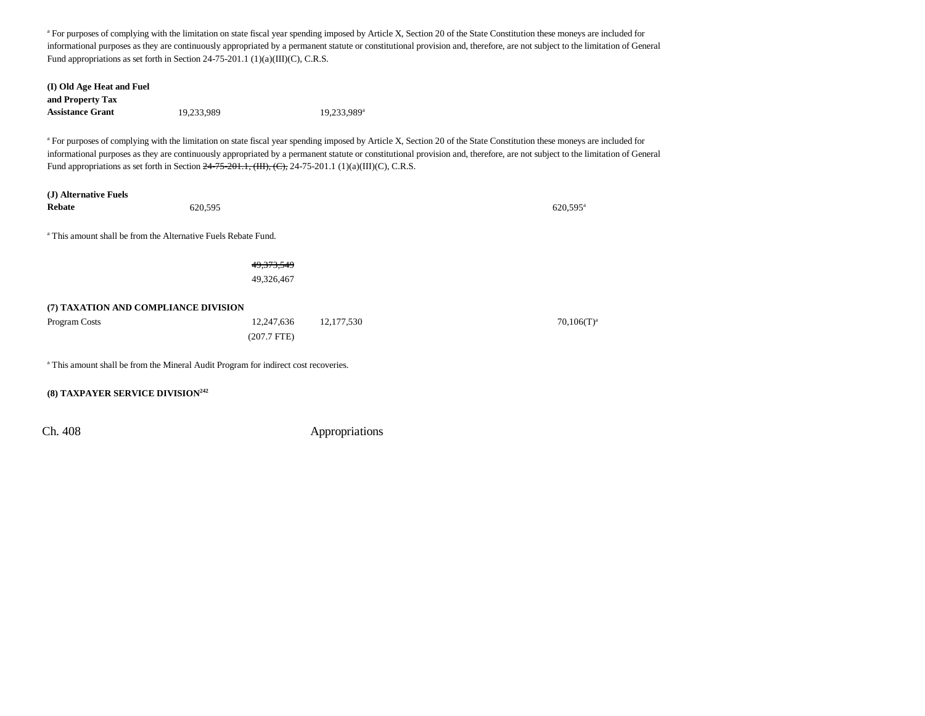<sup>a</sup> For purposes of complying with the limitation on state fiscal year spending imposed by Article X, Section 20 of the State Constitution these moneys are included for informational purposes as they are continuously appropriated by a permanent statute or constitutional provision and, therefore, are not subject to the limitation of General Fund appropriations as set forth in Section 24-75-201.1 (1)(a)(III)(C), C.R.S.

| (I) Old Age Heat and Fuel<br>and Property Tax |                                                                                                           |                         |                                                                                                                                                                                                                                                                                                                                                                   |
|-----------------------------------------------|-----------------------------------------------------------------------------------------------------------|-------------------------|-------------------------------------------------------------------------------------------------------------------------------------------------------------------------------------------------------------------------------------------------------------------------------------------------------------------------------------------------------------------|
| <b>Assistance Grant</b>                       | 19,233,989                                                                                                | 19,233,989 <sup>a</sup> |                                                                                                                                                                                                                                                                                                                                                                   |
|                                               | Fund appropriations as set forth in Section $24-75-201.1$ , (HI), (C), 24-75-201.1 (1)(a)(III)(C), C.R.S. |                         | <sup>a</sup> For purposes of complying with the limitation on state fiscal year spending imposed by Article X, Section 20 of the State Constitution these moneys are included for<br>informational purposes as they are continuously appropriated by a permanent statute or constitutional provision and, therefore, are not subject to the limitation of General |
| (J) Alternative Fuels<br><b>Rebate</b>        | 620,595                                                                                                   |                         | 620.595 <sup>a</sup>                                                                                                                                                                                                                                                                                                                                              |
|                                               | <sup>a</sup> This amount shall be from the Alternative Fuels Rebate Fund.                                 |                         |                                                                                                                                                                                                                                                                                                                                                                   |
|                                               | 49, 373, 549                                                                                              |                         |                                                                                                                                                                                                                                                                                                                                                                   |
|                                               | 49,326,467                                                                                                |                         |                                                                                                                                                                                                                                                                                                                                                                   |
| (7) TAXATION AND COMPLIANCE DIVISION          |                                                                                                           |                         |                                                                                                                                                                                                                                                                                                                                                                   |
| Program Costs                                 | 12,247,636                                                                                                | 12, 177, 530            | $70,106(T)^a$                                                                                                                                                                                                                                                                                                                                                     |
|                                               | $(207.7$ FTE)                                                                                             |                         |                                                                                                                                                                                                                                                                                                                                                                   |
|                                               | <sup>a</sup> This amount shall be from the Mineral Audit Program for indirect cost recoveries.            |                         |                                                                                                                                                                                                                                                                                                                                                                   |
| (8) TAXPAYER SERVICE DIVISION <sup>242</sup>  |                                                                                                           |                         |                                                                                                                                                                                                                                                                                                                                                                   |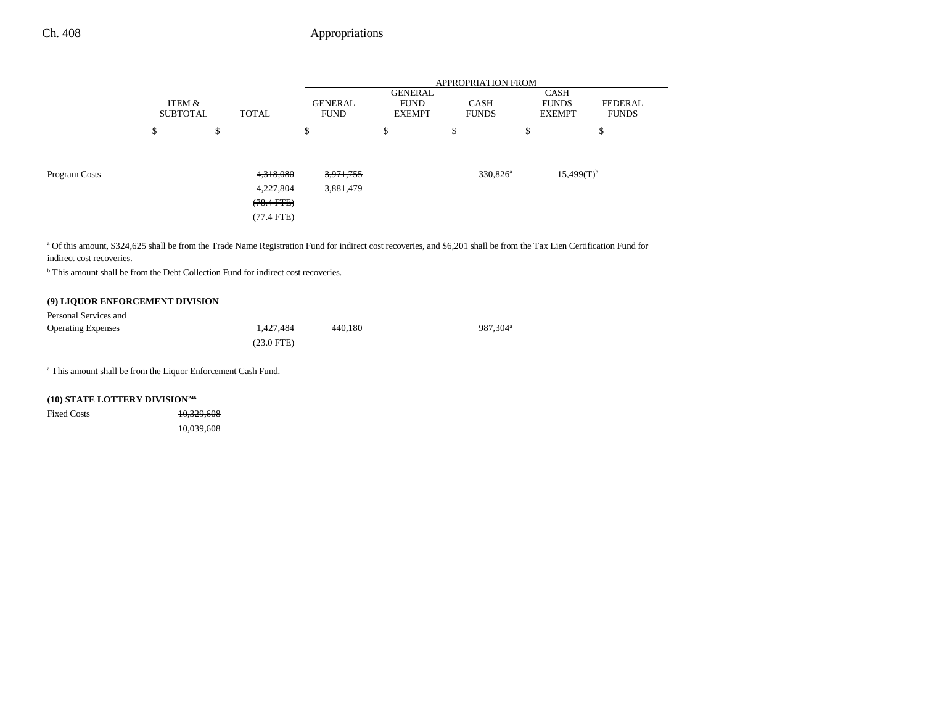|        | APPROPRIATION FROM |                               |                                                           |                             |                 |                                       |
|--------|--------------------|-------------------------------|-----------------------------------------------------------|-----------------------------|-----------------|---------------------------------------|
| ITEM & | TOTAL              | <b>GENERAL</b><br><b>FUND</b> | GENERAL<br><b>FUND</b><br><b>EXEMPT</b>                   | <b>CASH</b><br><b>FUNDS</b> |                 | <b>FEDERAL</b><br><b>FUNDS</b>        |
| \$     | \$                 | \$                            | \$                                                        | \$                          | \$              | \$                                    |
|        |                    |                               |                                                           |                             |                 |                                       |
|        |                    | 3,971,755                     |                                                           | 330,826 <sup>a</sup>        | $15,499(T)^{b}$ |                                       |
|        |                    | 3,881,479                     |                                                           |                             |                 |                                       |
|        |                    |                               |                                                           |                             |                 |                                       |
|        |                    |                               |                                                           |                             |                 |                                       |
|        |                    | <b>SUBTOTAL</b>               | 4,318,080<br>4,227,804<br>$(78.4$ FTE $)$<br>$(77.4$ FTE) |                             |                 | CASH<br><b>FUNDS</b><br><b>EXEMPT</b> |

a Of this amount, \$324,625 shall be from the Trade Name Registration Fund for indirect cost recoveries, and \$6,201 shall be from the Tax Lien Certification Fund for indirect cost recoveries.

<sup>b</sup> This amount shall be from the Debt Collection Fund for indirect cost recoveries.

### **(9) LIQUOR ENFORCEMENT DIVISION**

| Personal Services and     |              |         |                      |
|---------------------------|--------------|---------|----------------------|
| <b>Operating Expenses</b> | 1.427.484    | 440.180 | 987.304 <sup>a</sup> |
|                           | $(23.0$ FTE) |         |                      |

a This amount shall be from the Liquor Enforcement Cash Fund.

### **(10) STATE LOTTERY DIVISION246**

| Fixed Costs | 10,329,608 |
|-------------|------------|
|             | 10,039,608 |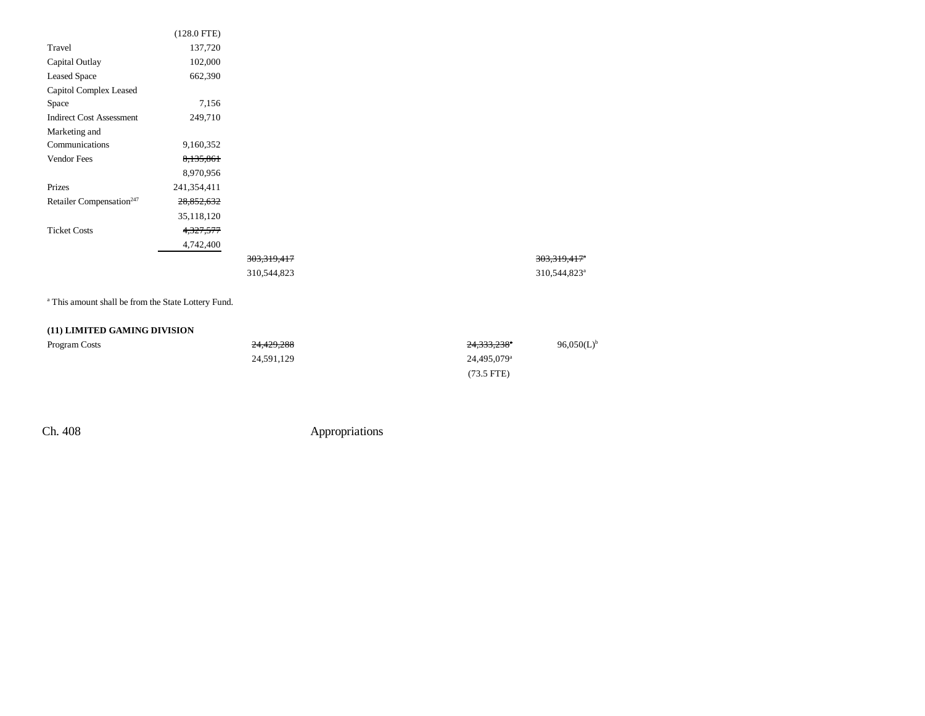|                                      | $(128.0$ FTE) |  |
|--------------------------------------|---------------|--|
| Travel                               | 137,720       |  |
| Capital Outlay                       | 102,000       |  |
| <b>Leased Space</b>                  | 662,390       |  |
| Capitol Complex Leased               |               |  |
| Space                                | 7,156         |  |
| <b>Indirect Cost Assessment</b>      | 249,710       |  |
| Marketing and                        |               |  |
| Communications                       | 9,160,352     |  |
| Vendor Fees                          | 8,135,861     |  |
|                                      | 8,970,956     |  |
| Prizes                               | 241,354,411   |  |
| Retailer Compensation <sup>247</sup> | 28,852,632    |  |
|                                      | 35,118,120    |  |
| <b>Ticket Costs</b>                  | 4,327,577     |  |
|                                      | 4,742,400     |  |
|                                      |               |  |
|                                      |               |  |
|                                      |               |  |

a This amount shall be from the State Lottery Fund.

### **(11) LIMITED GAMING DIVISION**

| Program Costs | 24.429.288 | 24,333,238 <sup>a</sup> | 96,050(L) <sup>b</sup> |
|---------------|------------|-------------------------|------------------------|
|               | 24,591,129 | 24.495.079 <sup>a</sup> |                        |
|               |            | $(73.5$ FTE)            |                        |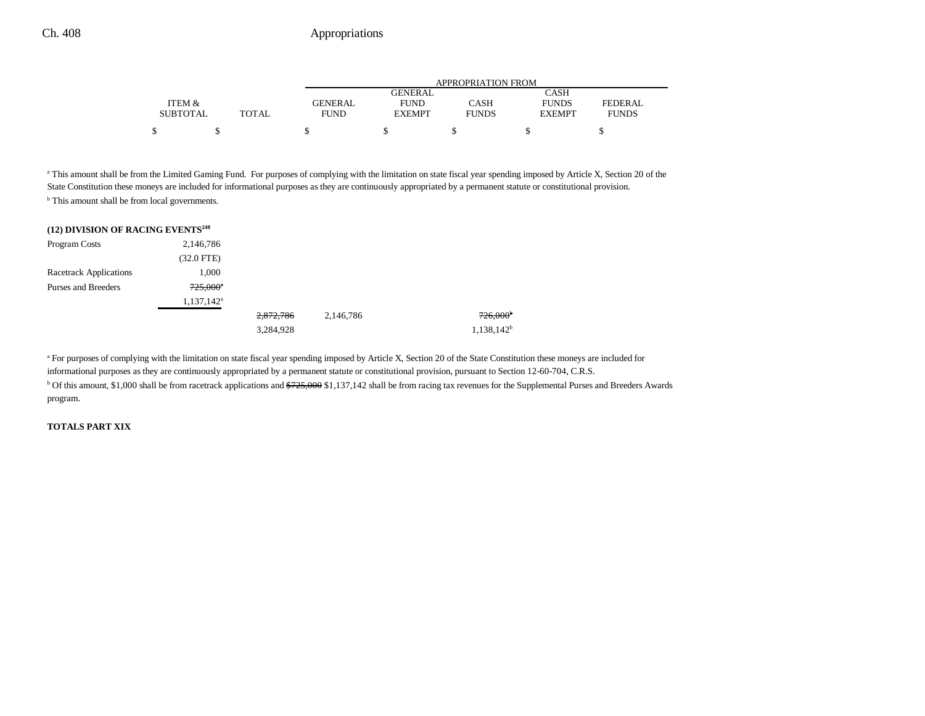|                 |       | APPROPRIATION FROM |               |              |               |                |  |  |
|-----------------|-------|--------------------|---------------|--------------|---------------|----------------|--|--|
|                 |       | CASH<br>GENERAL    |               |              |               |                |  |  |
| ITEM &          |       | <b>GENERAL</b>     | <b>FUND</b>   | CASH         | <b>FUNDS</b>  | <b>FEDERAL</b> |  |  |
| <b>SUBTOTAL</b> | TOTAL | FUND               | <b>EXEMPT</b> | <b>FUNDS</b> | <b>EXEMPT</b> | <b>FUNDS</b>   |  |  |
| ሖ               |       |                    |               |              |               |                |  |  |

<sup>a</sup> This amount shall be from the Limited Gaming Fund. For purposes of complying with the limitation on state fiscal year spending imposed by Article X, Section 20 of the State Constitution these moneys are included for informational purposes as they are continuously appropriated by a permanent statute or constitutional provision. <sup>b</sup> This amount shall be from local governments.

#### **(12) DIVISION OF RACING EVENTS248**

| Program Costs                 | 2,146,786     |           |           |                        |
|-------------------------------|---------------|-----------|-----------|------------------------|
|                               | $(32.0$ FTE)  |           |           |                        |
| <b>Racetrack Applications</b> | 1,000         |           |           |                        |
| Purses and Breeders           | $725,000^*$   |           |           |                        |
|                               | $1,137,142^a$ |           |           |                        |
|                               |               | 2,872,786 | 2,146,786 | $726,000$ <sup>b</sup> |
|                               |               | 3,284,928 |           | $1,138,142^b$          |

<sup>a</sup> For purposes of complying with the limitation on state fiscal year spending imposed by Article X, Section 20 of the State Constitution these moneys are included for informational purposes as they are continuously appropriated by a permanent statute or constitutional provision, pursuant to Section 12-60-704, C.R.S. <sup>b</sup> Of this amount, \$1,000 shall be from racetrack applications and \$725,000 \$1,137,142 shall be from racing tax revenues for the Supplemental Purses and Breeders Awards program.

#### **TOTALS PART XIX**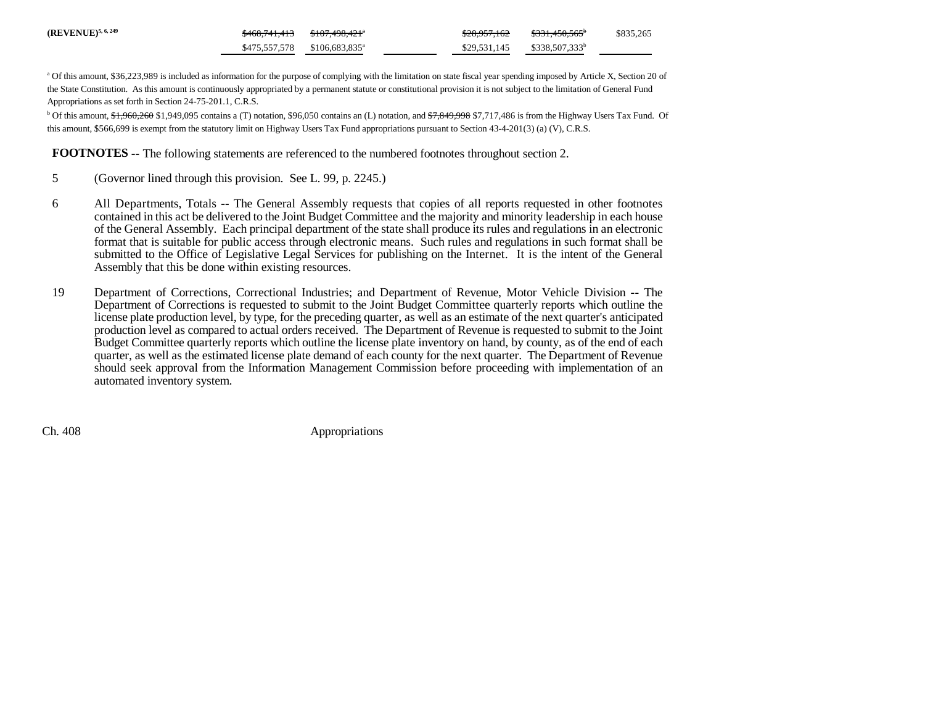| $(REVENUE)^{5, 6, 249}$ | \$468.741.413 | <del>\$107.498.421</del> "                 | <del>\$28.957.162</del> | <del>\$331.450.565</del>   | \$835,265 |
|-------------------------|---------------|--------------------------------------------|-------------------------|----------------------------|-----------|
|                         |               | $$475.557.578$ $$106.683.835$ <sup>a</sup> | \$29,531,145            | \$338,507,333 <sup>b</sup> |           |

<sup>a</sup> Of this amount, \$36,223,989 is included as information for the purpose of complying with the limitation on state fiscal year spending imposed by Article X, Section 20 of the State Constitution. As this amount is continuously appropriated by a permanent statute or constitutional provision it is not subject to the limitation of General Fund Appropriations as set forth in Section 24-75-201.1, C.R.S.

<sup>b</sup> Of this amount, \$1,960,260 \$1,949,095 contains a (T) notation, \$96,050 contains an (L) notation, and \$7,849,998 \$7,717,486 is from the Highway Users Tax Fund. Of this amount, \$566,699 is exempt from the statutory limit on Highway Users Tax Fund appropriations pursuant to Section 43-4-201(3) (a) (V), C.R.S.

**FOOTNOTES** -- The following statements are referenced to the numbered footnotes throughout section 2.

- 5 (Governor lined through this provision. See L. 99, p. 2245.)
- 6 All Departments, Totals -- The General Assembly requests that copies of all reports requested in other footnotes contained in this act be delivered to the Joint Budget Committee and the majority and minority leadership in each house of the General Assembly. Each principal department of the state shall produce its rules and regulations in an electronic format that is suitable for public access through electronic means. Such rules and regulations in such format shall be submitted to the Office of Legislative Legal Services for publishing on the Internet. It is the intent of the General Assembly that this be done within existing resources.
- 19 Department of Corrections, Correctional Industries; and Department of Revenue, Motor Vehicle Division -- The Department of Corrections is requested to submit to the Joint Budget Committee quarterly reports which outline the license plate production level, by type, for the preceding quarter, as well as an estimate of the next quarter's anticipated production level as compared to actual orders received. The Department of Revenue is requested to submit to the Joint Budget Committee quarterly reports which outline the license plate inventory on hand, by county, as of the end of each quarter, as well as the estimated license plate demand of each county for the next quarter. The Department of Revenue should seek approval from the Information Management Commission before proceeding with implementation of an automated inventory system.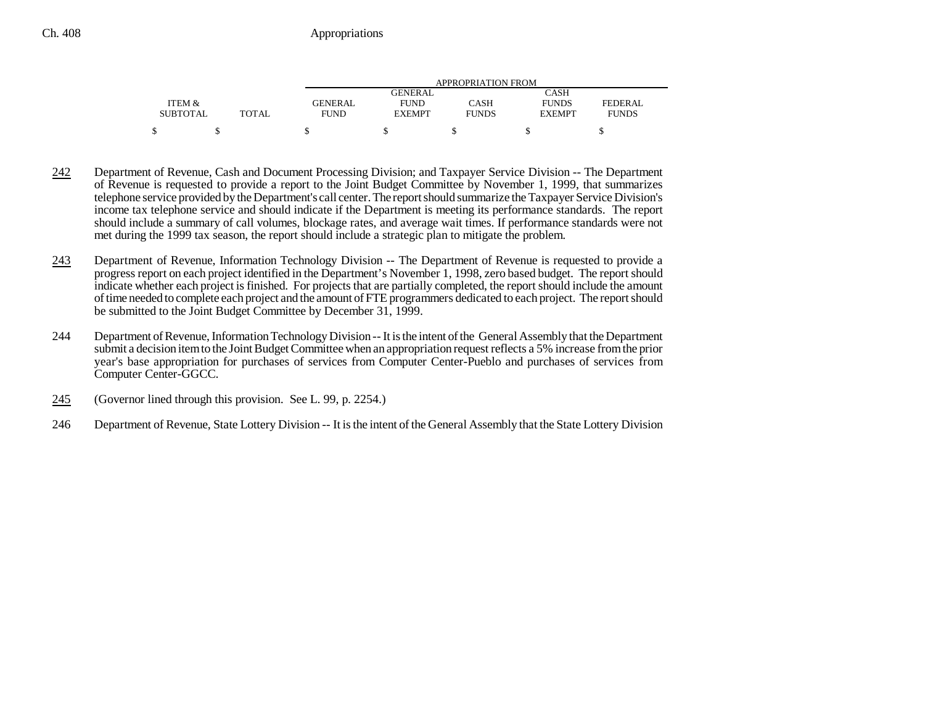|                 |       | APPROPRIATION FROM |               |              |               |              |  |  |
|-----------------|-------|--------------------|---------------|--------------|---------------|--------------|--|--|
|                 |       |                    | GENERAL       |              | CASH          |              |  |  |
| ITEM &          |       | GENERAL            | <b>FUND</b>   | CASH         | <b>FUNDS</b>  | FEDERAL      |  |  |
| <b>SUBTOTAL</b> | TOTAL | <b>FUND</b>        | <b>EXEMPT</b> | <b>FUNDS</b> | <b>EXEMPT</b> | <b>FUNDS</b> |  |  |
|                 |       |                    |               |              |               |              |  |  |

- 242 Department of Revenue, Cash and Document Processing Division; and Taxpayer Service Division -- The Department of Revenue is requested to provide a report to the Joint Budget Committee by November 1, 1999, that summarizes telephone service provided by the Department's call center. The report should summarize the Taxpayer Service Division's income tax telephone service and should indicate if the Department is meeting its performance standards. The report should include a summary of call volumes, blockage rates, and average wait times. If performance standards were not met during the 1999 tax season, the report should include a strategic plan to mitigate the problem.
- 243 Department of Revenue, Information Technology Division -- The Department of Revenue is requested to provide a progress report on each project identified in the Department's November 1, 1998, zero based budget. The report should indicate whether each project is finished. For projects that are partially completed, the report should include the amount of time needed to complete each project and the amount of FTE programmers dedicated to each project. The report should be submitted to the Joint Budget Committee by December 31, 1999.
- 244 Department of Revenue, Information Technology Division -- It is the intent of the General Assembly that the Department submit a decision item to the Joint Budget Committee when an appropriation request reflects a 5% increase from the prior year's base appropriation for purchases of services from Computer Center-Pueblo and purchases of services from Computer Center-GGCC.
- 245(Governor lined through this provision. See L. 99, p. 2254.)
- 246 Department of Revenue, State Lottery Division -- It is the intent of the General Assembly that the State Lottery Division